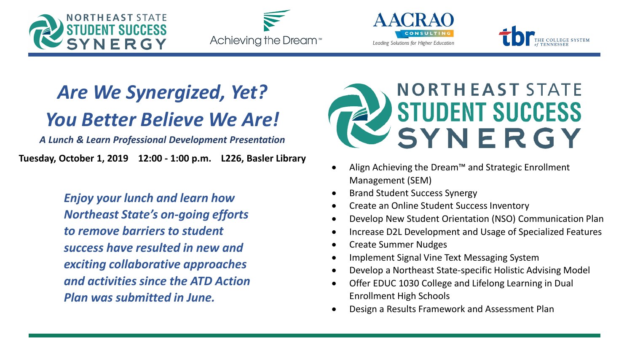







#### *Are We Synergized, Yet? You Better Believe We Are!*

*A Lunch & Learn Professional Development Presentation*

**Tuesday, October 1, 2019 12:00 - 1:00 p.m. L226, Basler Library**

*Enjoy your lunch and learn how Northeast State's on-going efforts to remove barriers to student success have resulted in new and exciting collaborative approaches and activities since the ATD Action Plan was submitted in June.*



- Align Achieving the Dream™ and Strategic Enrollment Management (SEM)
- Brand Student Success Synergy
- Create an Online Student Success Inventory
- Develop New Student Orientation (NSO) Communication Plan
- Increase D2L Development and Usage of Specialized Features
- Create Summer Nudges
- Implement Signal Vine Text Messaging System
- Develop a Northeast State-specific Holistic Advising Model
- Offer EDUC 1030 College and Lifelong Learning in Dual Enrollment High Schools
- Design a Results Framework and Assessment Plan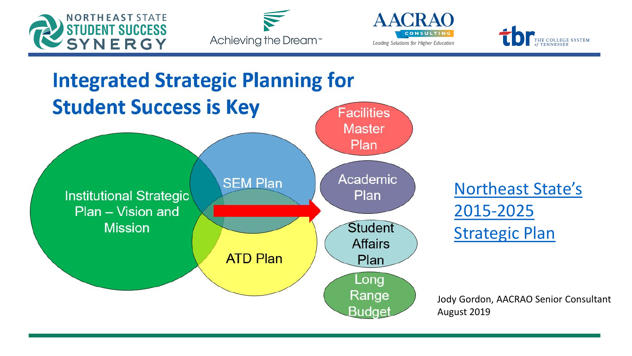







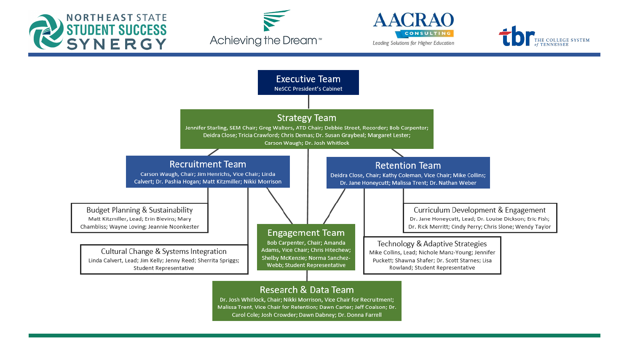







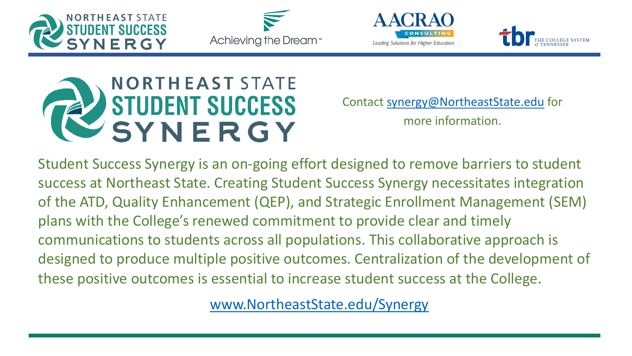









Contact [synergy@NortheastState.edu](mailto:synergy@NortheastState.edu) for more information.

Student Success Synergy is an on-going effort designed to remove barriers to student success at Northeast State. Creating Student Success Synergy necessitates integration of the ATD, Quality Enhancement (QEP), and Strategic Enrollment Management (SEM) plans with the College's renewed commitment to provide clear and timely communications to students across all populations. This collaborative approach is designed to produce multiple positive outcomes. Centralization of the development of these positive outcomes is essential to increase student success at the College.

[www.NortheastState.edu/Synergy](https://www.northeaststate.edu/About/Student-Success-Synergy/)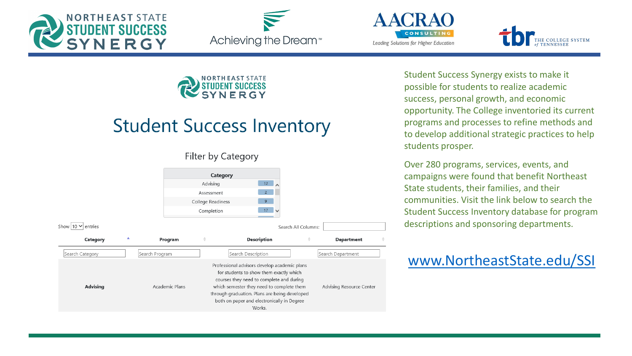







# **NORTHEAST** STATE

#### **Student Success Inventory**

#### Filter by Category



Student Success Synergy exists to make it possible for students to realize academic success, personal growth, and economic opportunity. The College inventoried its current programs and processes to refine methods and to develop additional strategic practices to help students prosper.

Over 280 programs, services, events, and campaigns were found that benefit Northeast State students, their families, and their communities. Visit the link below to search the Student Success Inventory database for program descriptions and sponsoring departments.

#### [www.NortheastState.edu/SSI](https://apps.northeaststate.edu/synergy/)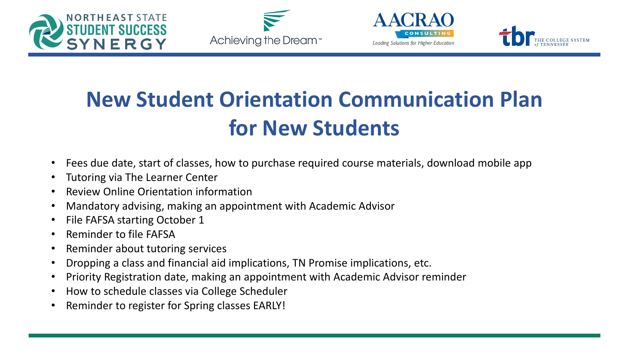







# **New Student Orientation Communication Plan for New Students**

- Fees due date, start of classes, how to purchase required course materials, download mobile app
- Tutoring via The Learner Center
- Review Online Orientation information
- Mandatory advising, making an appointment with Academic Advisor
- File FAFSA starting October 1
- Reminder to file FAFSA
- Reminder about tutoring services
- Dropping a class and financial aid implications, TN Promise implications, etc.
- Priority Registration date, making an appointment with Academic Advisor reminder
- How to schedule classes via College Scheduler
- Reminder to register for Spring classes EARLY!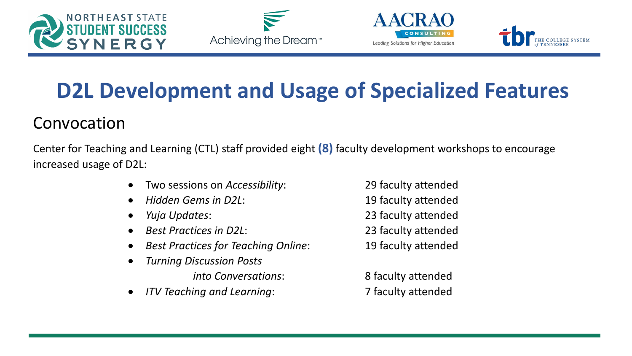







### **D2L Development and Usage of Specialized Features**

#### Convocation

Center for Teaching and Learning (CTL) staff provided eight **(8)** faculty development workshops to encourage increased usage of D2L:

- Two sessions on *Accessibility*: 29 faculty attended
- *Hidden Gems in D2L*: 19 faculty attended
- 
- *Best Practices in D2L*: 23 faculty attended
- *Best Practices for Teaching Online*: 19 faculty attended
	- *Turning Discussion Posts into Conversations*: 8 faculty attended
- *ITV Teaching and Learning*: 7 faculty attended
- *Yuja Updates*: 23 faculty attended
	-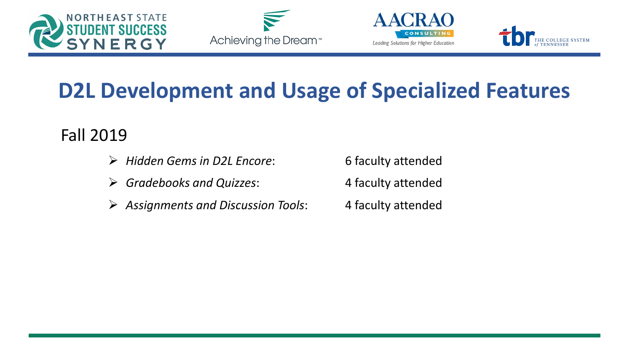







### **D2L Development and Usage of Specialized Features**

#### Fall 2019

- *Hidden Gems in D2L Encore*: 6 faculty attended
- *Gradebooks and Quizzes*: 4 faculty attended
- *Assignments and Discussion Tools*: 4 faculty attended
- 
- 
-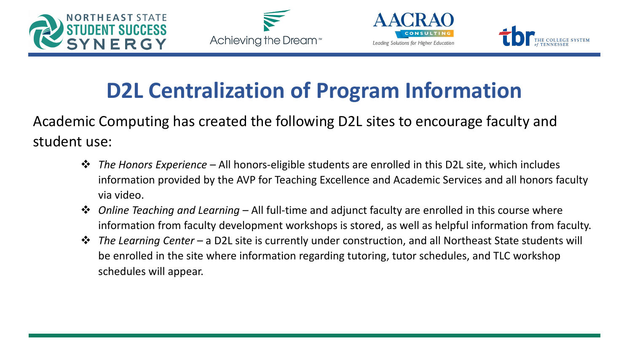







### **D2L Centralization of Program Information**

Academic Computing has created the following D2L sites to encourage faculty and student use:

- *The Honors Experience* All honors-eligible students are enrolled in this D2L site, which includes information provided by the AVP for Teaching Excellence and Academic Services and all honors faculty via video.
- *Online Teaching and Learning* All full-time and adjunct faculty are enrolled in this course where information from faculty development workshops is stored, as well as helpful information from faculty.
- *The Learning Center* a D2L site is currently under construction, and all Northeast State students will be enrolled in the site where information regarding tutoring, tutor schedules, and TLC workshop schedules will appear.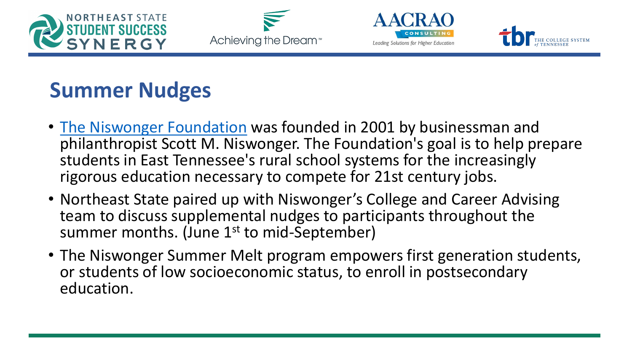







### **Summer Nudges**

- [The Niswonger](http://www.niswongerfoundation.org/) Foundation was founded in 2001 by businessman and philanthropist Scott M. Niswonger. The Foundation's goal is to help prepare students in East Tennessee's rural school systems for the increasingly rigorous education necessary to compete for 21st century jobs.
- Northeast State paired up with Niswonger's College and Career Advising team to discuss supplemental nudges to participants throughout the summer months. (June 1<sup>st</sup> to mid-September)
- The Niswonger Summer Melt program empowers first generation students, or students of low socioeconomic status, to enroll in postsecondary education.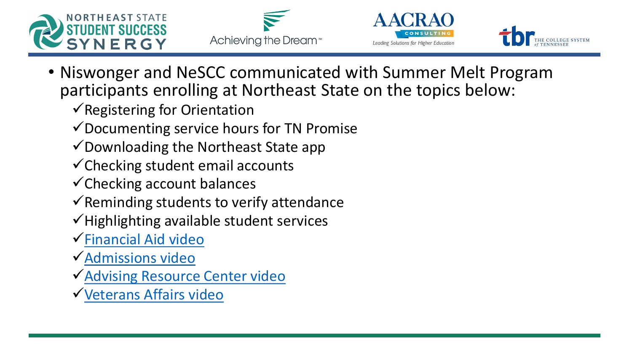







- Niswonger and NeSCC communicated with Summer Melt Program participants enrolling at Northeast State on the topics below:
	- $\checkmark$  Registering for Orientation
	- $\checkmark$  Documenting service hours for TN Promise
	- $\checkmark$  Downloading the Northeast State app
	- $\checkmark$  Checking student email accounts
	- $\checkmark$ Checking account balances
	- $\checkmark$  Reminding students to verify attendance
	- $\checkmark$  Highlighting available student services
	- [Financial Aid video](https://youtu.be/L9CqdPl-oNA)
	- [Admissions video](https://youtu.be/r_U6HtXfS6c)
	- [Advising Resource Center video](https://youtu.be/3CLGvxleKTQ)
	- [Veterans Affairs video](https://youtu.be/h7nWJntmtUE)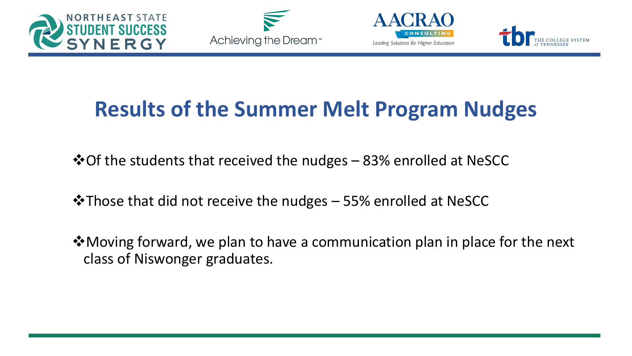







### **Results of the Summer Melt Program Nudges**

 $\cdot$  ⊙ Of the students that received the nudges – 83% enrolled at NeSCC

 $\cdot$ Those that did not receive the nudges - 55% enrolled at NeSCC

◆ Moving forward, we plan to have a communication plan in place for the next class of Niswonger graduates.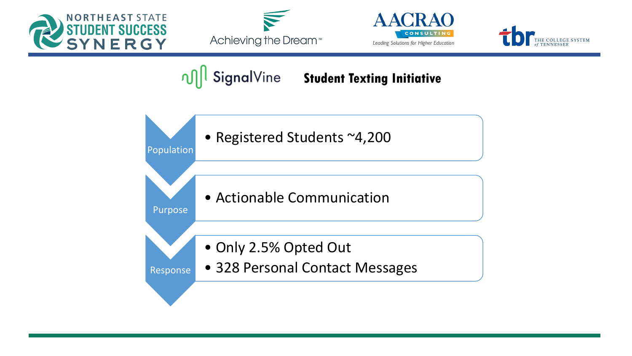







**OM** SignalVine Student Texting Initiative

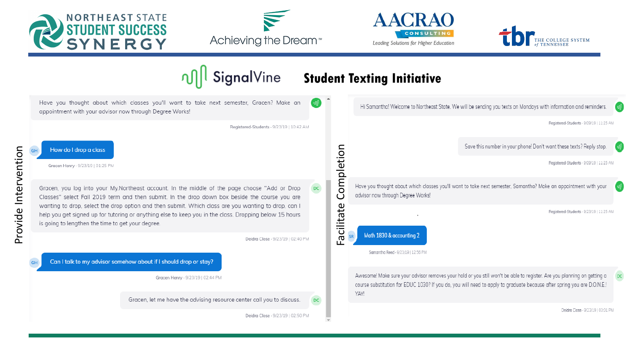

Provide Intervention

Provide Intervention







DC

#### ∩¶ SignalVine **Student Texting Initiative**  Have you thought about which classes you'll want to take next semester. Gracen? Make an Hi Samantha! Welcome to Northeast State. We will be sending you texts on Mondays with information and reminders. appointment with your advisor now through Degree Works! Registered-Students - 9/09/19 | 11:25 AM Registered-Students · 9/23/19 | 10:42 AM Save this number in your phone! Don't want these texts? Reply stop. Completion How do I drop a class Facilitate CompletionRegistered-Students - 9/09/19 | 11:25 AM Gracen Henry · 9/23/19 | 01:25 PM Have you thought about which classes you'll want to take next semester, Samantha? Make an appointment with your Gracen, you log into your My.Northeast account. In the middle of the page choose "Add or Drop advisor now through Degree Works! Classes" select Fall 2019 term and then submit. In the drop down box beside the course you are wanting to drop, select the drop option and then submit. Which class are you wanting to drop, can I Facilitate Registered-Students - 9/23/19 | 11:25 AM help you get signed up for tutoring or anything else to keep you in the class. Dropping below 15 hours is going to lengthen the time to get your degree. Math 1830 & accounting 2 Deidra Close - 9/23/19 | 02:40 PM Samantha Reed - 9/23/19 | 12:56 PM Can I talk to my advisor somehow about if I should drop or stay? Awesome! Make sure your advisor removes your hold or you still won't be able to register. Are you planning on getting a Gracen Henry · 9/23/19 | 02:44 PM course substitution for EDUC 1030? If you do, you will need to apply to graduate because after spring you are D.O.N.E.! YAY! Gracen, let me have the advising resource center call you to discuss. DC. Deidra Close - 9/23/19 | 03:01 PM Deidra Close - 9/23/19 | 02:50 PM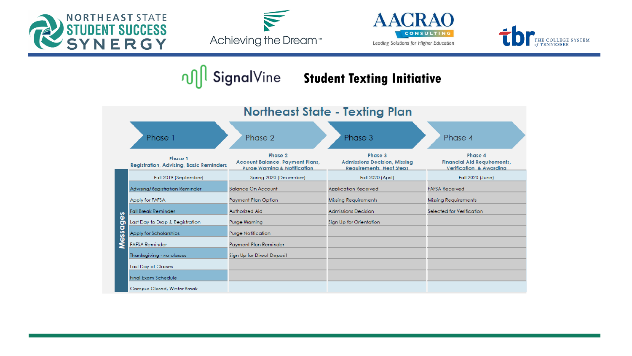







#### **n**<sub>1</sub> SignalVine Student Texting Initiative

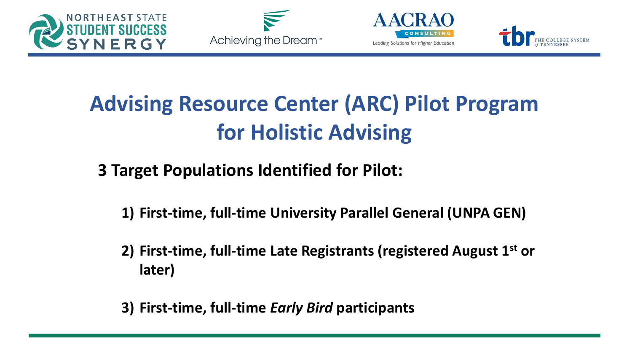







# **Advising Resource Center (ARC) Pilot Program for Holistic Advising**

#### **3 Target Populations Identified for Pilot:**

- **1) First-time, full-time University Parallel General (UNPA GEN)**
- **2) First-time, full-time Late Registrants (registered August 1st or later)**
- **3) First-time, full-time** *Early Bird* **participants**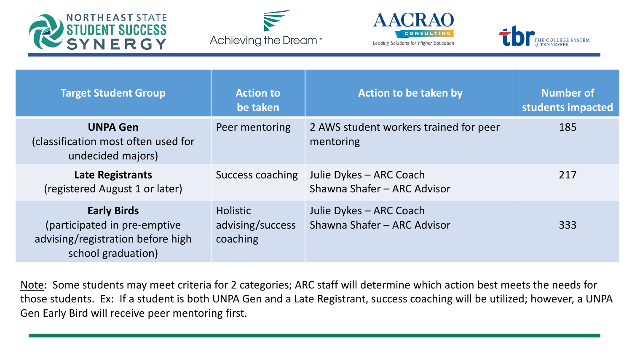







| <b>Target Student Group</b>                                                                                   | <b>Action to</b><br>be taken                    | <b>Action to be taken by</b>                           | <b>Number of</b><br>students impacted |
|---------------------------------------------------------------------------------------------------------------|-------------------------------------------------|--------------------------------------------------------|---------------------------------------|
| <b>UNPA Gen</b><br>(classification most often used for<br>undecided majors)                                   | Peer mentoring                                  | 2 AWS student workers trained for peer<br>mentoring    | 185                                   |
| <b>Late Registrants</b><br>(registered August 1 or later)                                                     | Success coaching                                | Julie Dykes – ARC Coach<br>Shawna Shafer - ARC Advisor | 217                                   |
| <b>Early Birds</b><br>(participated in pre-emptive<br>advising/registration before high<br>school graduation) | <b>Holistic</b><br>advising/success<br>coaching | Julie Dykes - ARC Coach<br>Shawna Shafer - ARC Advisor | 333                                   |

Note: Some students may meet criteria for 2 categories; ARC staff will determine which action best meets the needs for those students. Ex: If a student is both UNPA Gen and a Late Registrant, success coaching will be utilized; however, a UNPA Gen Early Bird will receive peer mentoring first.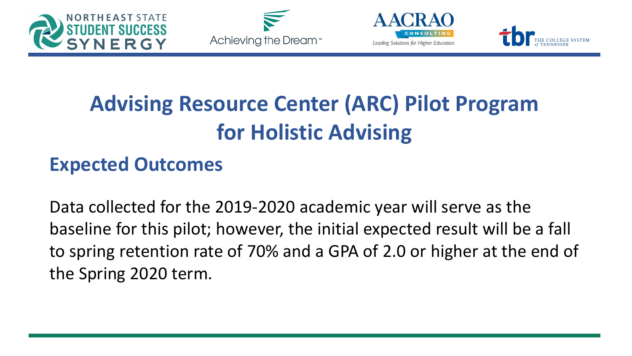







# **Advising Resource Center (ARC) Pilot Program for Holistic Advising**

#### **Expected Outcomes**

Data collected for the 2019-2020 academic year will serve as the baseline for this pilot; however, the initial expected result will be a fall to spring retention rate of 70% and a GPA of 2.0 or higher at the end of the Spring 2020 term.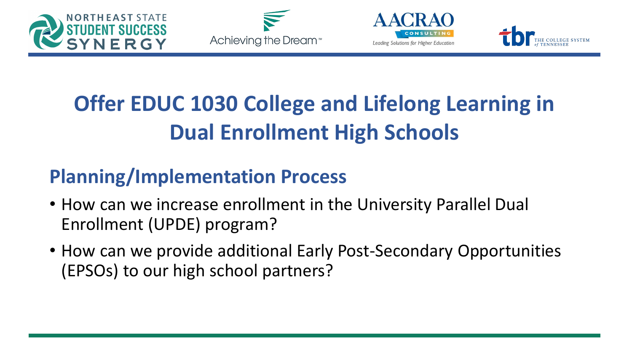







# **Offer EDUC 1030 College and Lifelong Learning in Dual Enrollment High Schools**

#### **Planning/Implementation Process**

- How can we increase enrollment in the University Parallel Dual Enrollment (UPDE) program?
- How can we provide additional Early Post-Secondary Opportunities (EPSOs) to our high school partners?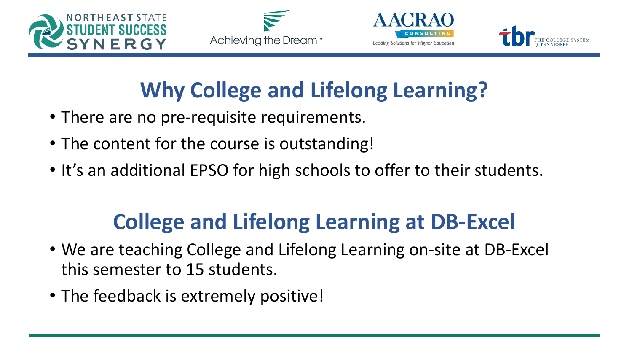







### **Why College and Lifelong Learning?**

- There are no pre-requisite requirements.
- The content for the course is outstanding!
- It's an additional EPSO for high schools to offer to their students.

### **College and Lifelong Learning at DB-Excel**

- We are teaching College and Lifelong Learning on-site at DB-Excel this semester to 15 students.
- The feedback is extremely positive!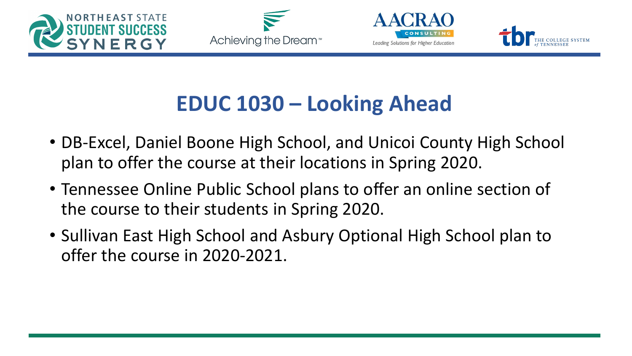







### **EDUC 1030 – Looking Ahead**

- DB-Excel, Daniel Boone High School, and Unicoi County High School plan to offer the course at their locations in Spring 2020.
- Tennessee Online Public School plans to offer an online section of the course to their students in Spring 2020.
- Sullivan East High School and Asbury Optional High School plan to offer the course in 2020-2021.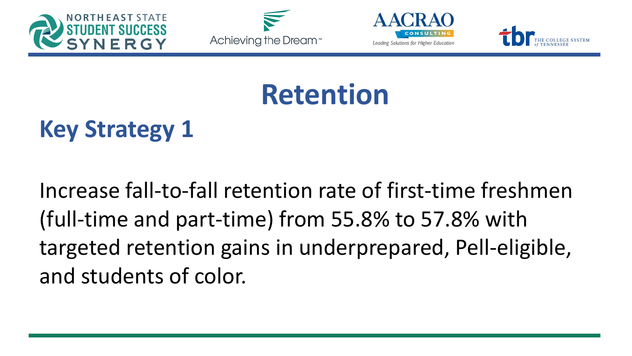







# **Retention**

# **Key Strategy 1**

Increase fall-to-fall retention rate of first-time freshmen (full-time and part-time) from 55.8% to 57.8% with targeted retention gains in underprepared, Pell-eligible, and students of color.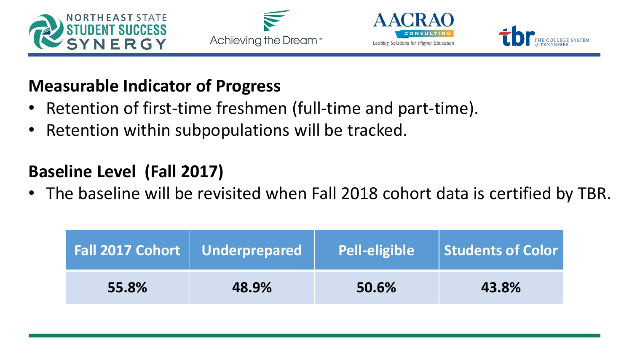







#### **Measurable Indicator of Progress**

- Retention of first-time freshmen (full-time and part-time).
- Retention within subpopulations will be tracked.

#### **Baseline Level (Fall 2017)**

• The baseline will be revisited when Fall 2018 cohort data is certified by TBR.

|       | Fall 2017 Cohort   Underprepared | <b>Pell-eligible</b> | Students of Color |
|-------|----------------------------------|----------------------|-------------------|
| 55.8% | 48.9%                            | 50.6%                | 43.8%             |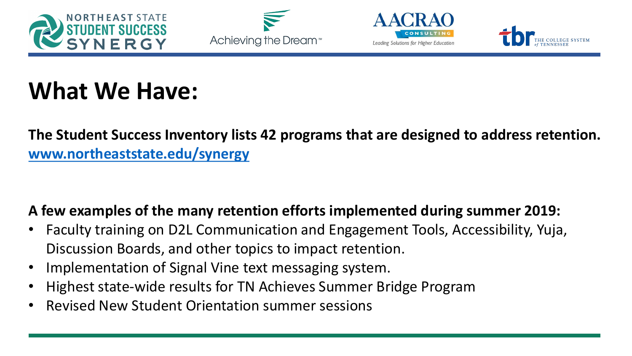







## **What We Have:**

#### **The Student Success Inventory lists 42 programs that are designed to address retention. [www.northeaststate.edu/synergy](http://www.northeaststate.edu/synergy)**

#### **A few examples of the many retention efforts implemented during summer 2019:**

- Faculty training on D2L Communication and Engagement Tools, Accessibility, Yuja, Discussion Boards, and other topics to impact retention.
- Implementation of Signal Vine text messaging system.
- Highest state-wide results for TN Achieves Summer Bridge Program
- Revised New Student Orientation summer sessions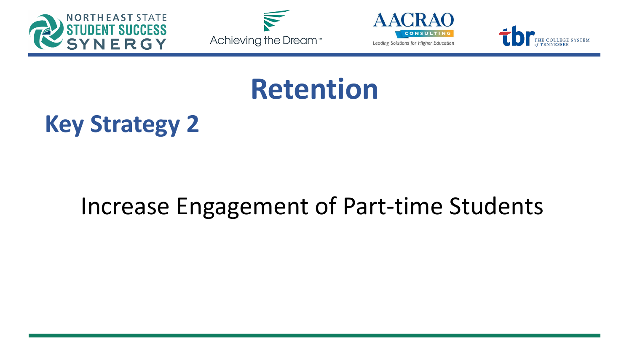







# **Retention**

### **Key Strategy 2**

### Increase Engagement of Part-time Students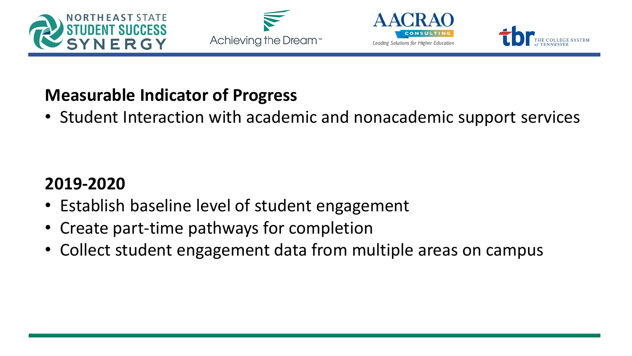







#### **Measurable Indicator of Progress**

• Student Interaction with academic and nonacademic support services

#### **2019-2020**

- Establish baseline level of student engagement
- Create part-time pathways for completion
- Collect student engagement data from multiple areas on campus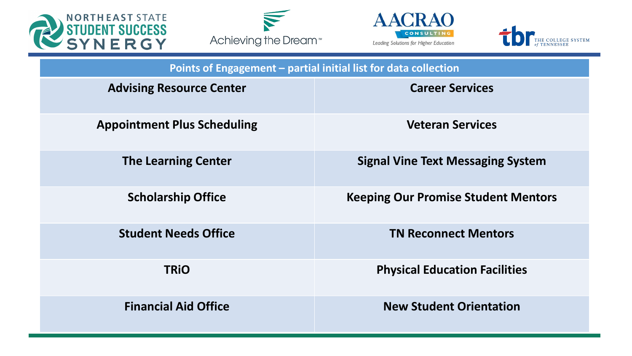







| Points of Engagement - partial initial list for data collection |                                            |  |  |  |
|-----------------------------------------------------------------|--------------------------------------------|--|--|--|
| <b>Advising Resource Center</b>                                 | <b>Career Services</b>                     |  |  |  |
| <b>Appointment Plus Scheduling</b>                              | <b>Veteran Services</b>                    |  |  |  |
| <b>The Learning Center</b>                                      | <b>Signal Vine Text Messaging System</b>   |  |  |  |
| <b>Scholarship Office</b>                                       | <b>Keeping Our Promise Student Mentors</b> |  |  |  |
| <b>Student Needs Office</b>                                     | <b>TN Reconnect Mentors</b>                |  |  |  |
| <b>TRIO</b>                                                     | <b>Physical Education Facilities</b>       |  |  |  |
| <b>Financial Aid Office</b>                                     | <b>New Student Orientation</b>             |  |  |  |